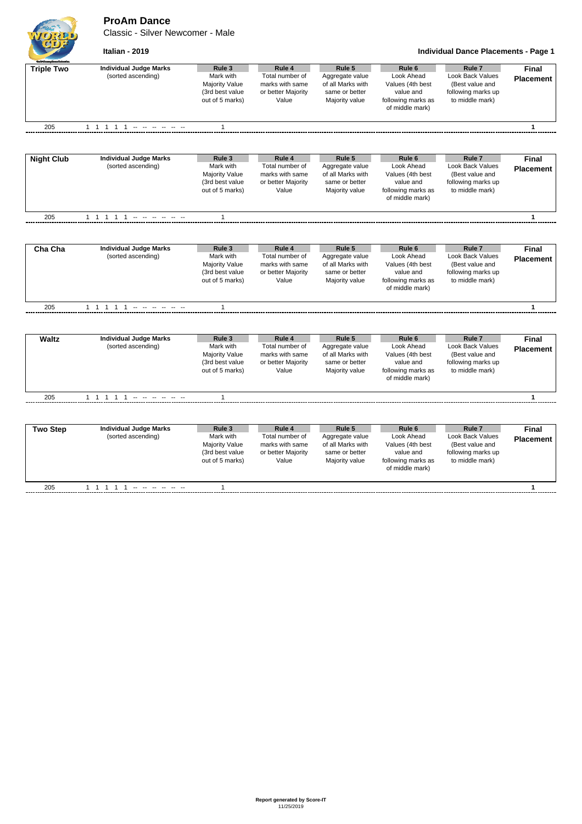**ProAm Dance**

Classic - Silver Newcomer - Male



**Italian - 2019 Individual Dance Placements - Page 1**

| <b>Build Gauge Drawfolonti</b> |                               |                                    |                             |                   |                                       |                                       |                  |
|--------------------------------|-------------------------------|------------------------------------|-----------------------------|-------------------|---------------------------------------|---------------------------------------|------------------|
| <b>Triple Two</b>              | <b>Individual Judge Marks</b> | Rule 3                             | Rule 4                      | Rule 5            | Rule <sub>6</sub>                     | Rule <sub>7</sub>                     | Final            |
|                                | (sorted ascending)            | Mark with                          | Total number of             | Aggregate value   | Look Ahead                            | Look Back Values                      | <b>Placement</b> |
|                                |                               | <b>Majority Value</b>              | marks with same             | of all Marks with | Values (4th best                      | (Best value and                       |                  |
|                                |                               | (3rd best value<br>out of 5 marks) | or better Majority<br>Value | same or better    | value and                             | following marks up<br>to middle mark) |                  |
|                                |                               |                                    |                             | Majority value    | following marks as<br>of middle mark) |                                       |                  |
|                                |                               |                                    |                             |                   |                                       |                                       |                  |
| 205                            |                               | $\mathbf{1}$                       |                             |                   |                                       |                                       | 1                |
|                                |                               |                                    |                             |                   |                                       |                                       |                  |
| <b>Night Club</b>              | <b>Individual Judge Marks</b> | Rule 3                             | Rule 4                      | Rule 5            | Rule <sub>6</sub>                     | Rule <sub>7</sub>                     | Final            |
|                                | (sorted ascending)            | Mark with                          | Total number of             | Aggregate value   | Look Ahead                            | <b>Look Back Values</b>               | <b>Placement</b> |
|                                |                               | <b>Majority Value</b>              | marks with same             | of all Marks with | Values (4th best                      | (Best value and                       |                  |
|                                |                               | (3rd best value                    | or better Majority          | same or better    | value and                             | following marks up                    |                  |
|                                |                               | out of 5 marks)                    | Value                       | Majority value    | following marks as<br>of middle mark) | to middle mark)                       |                  |
|                                |                               |                                    |                             |                   |                                       |                                       |                  |
| 205                            |                               | $\mathbf{1}$                       |                             |                   |                                       |                                       | $\mathbf{1}$     |
|                                |                               |                                    |                             |                   |                                       |                                       |                  |
| Cha Cha                        | <b>Individual Judge Marks</b> | Rule 3                             | Rule 4                      | Rule 5            | Rule <sub>6</sub>                     | Rule <sub>7</sub>                     | Final            |
|                                | (sorted ascending)            | Mark with                          | Total number of             | Aggregate value   | Look Ahead                            | <b>Look Back Values</b>               | <b>Placement</b> |
|                                |                               | <b>Majority Value</b>              | marks with same             | of all Marks with | Values (4th best                      | (Best value and                       |                  |
|                                |                               | (3rd best value                    | or better Majority          | same or better    | value and                             | following marks up                    |                  |
|                                |                               | out of 5 marks)                    | Value                       | Majority value    | following marks as                    | to middle mark)                       |                  |
|                                |                               |                                    |                             |                   | of middle mark)                       |                                       |                  |
| 205                            | 1 1 1 1 1 - - - - - -         | $\mathbf{1}$                       |                             |                   |                                       |                                       | $\mathbf{1}$     |
|                                |                               |                                    |                             |                   |                                       |                                       |                  |
| <b>Waltz</b>                   | <b>Individual Judge Marks</b> | Rule 3                             | Rule 4                      | Rule 5            | Rule <sub>6</sub>                     | Rule <sub>7</sub>                     | <b>Final</b>     |
|                                | (sorted ascending)            | Mark with                          | Total number of             | Aggregate value   | Look Ahead                            | <b>Look Back Values</b>               | <b>Placement</b> |
|                                |                               | <b>Majority Value</b>              | marks with same             | of all Marks with | Values (4th best                      | (Best value and                       |                  |
|                                |                               | (3rd best value                    | or better Majority          | same or better    | value and                             | following marks up                    |                  |
|                                |                               | out of 5 marks)                    | Value                       | Majority value    | following marks as                    | to middle mark)                       |                  |
|                                |                               |                                    |                             |                   | of middle mark)                       |                                       |                  |
| 205                            | 1 1 1 1 1 - - - - - -         | $\mathbf{1}$                       |                             |                   |                                       |                                       | 1                |
|                                |                               |                                    |                             |                   |                                       |                                       |                  |
| <b>Two Step</b>                | <b>Individual Judge Marks</b> | Rule 3                             | Rule 4                      | Rule 5            | Rule <sub>6</sub>                     | Rule <sub>7</sub>                     | Final            |
|                                | (sorted ascending)            | Mark with                          | Total number of             | Aggregate value   | Look Ahead                            | <b>Look Back Values</b>               | <b>Placement</b> |
|                                |                               | <b>Majority Value</b>              | marks with same             | of all Marks with | Values (4th best                      | (Best value and                       |                  |
|                                |                               | (3rd best value                    | or better Majority          | same or better    | value and                             | following marks up                    |                  |
|                                |                               | out of 5 marks)                    | Value                       | Majority value    | following marks as                    | to middle mark)                       |                  |
|                                |                               |                                    |                             |                   | of middle mark)                       |                                       |                  |
| 205                            | 1 1 1 1 1 - - - - - -         | $\mathbf{1}$                       |                             |                   |                                       |                                       | $\mathbf{1}$     |
|                                |                               |                                    |                             |                   |                                       |                                       |                  |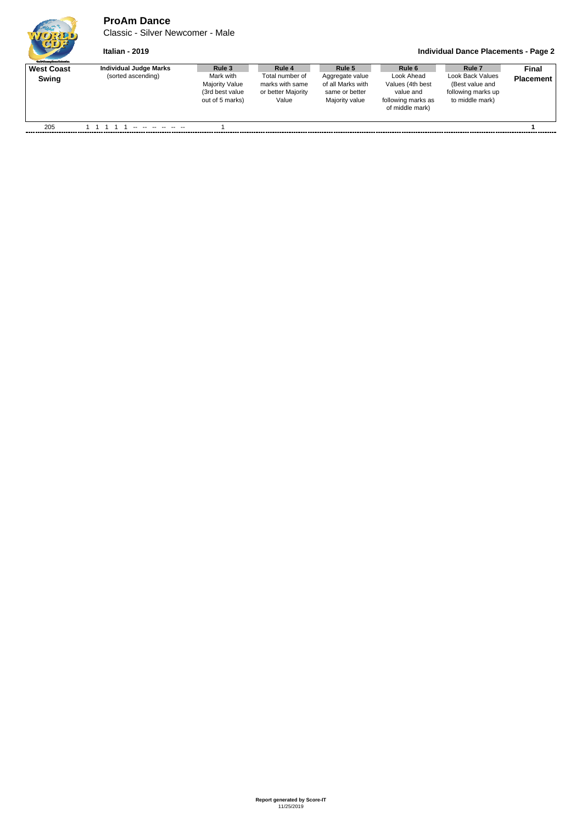## **ProAm Dance**

Classic - Silver Newcomer - Male

## **Italian - 2019 Individual Dance Placements - Page 2**

| <b>Guild Grantee Devent School and</b> |                        |                                                                   |                                                                   |                                                                          |                                                                                      |                                                                              |                  |
|----------------------------------------|------------------------|-------------------------------------------------------------------|-------------------------------------------------------------------|--------------------------------------------------------------------------|--------------------------------------------------------------------------------------|------------------------------------------------------------------------------|------------------|
| <b>West Coast</b>                      | Individual Judge Marks | Rule 3                                                            | Rule 4                                                            | Rule 5                                                                   | Rule 6                                                                               | Rule <sub>7</sub>                                                            | <b>Final</b>     |
| Swing                                  | (sorted ascending)     | Mark with<br>Majority Value<br>(3rd best value<br>out of 5 marks) | Total number of<br>marks with same<br>or better Majority<br>Value | Aggregate value<br>of all Marks with<br>same or better<br>Majority value | Look Ahead<br>Values (4th best<br>value and<br>following marks as<br>of middle mark) | Look Back Values<br>(Best value and<br>following marks up<br>to middle mark) | <b>Placement</b> |
| 205                                    |                        |                                                                   |                                                                   |                                                                          |                                                                                      |                                                                              |                  |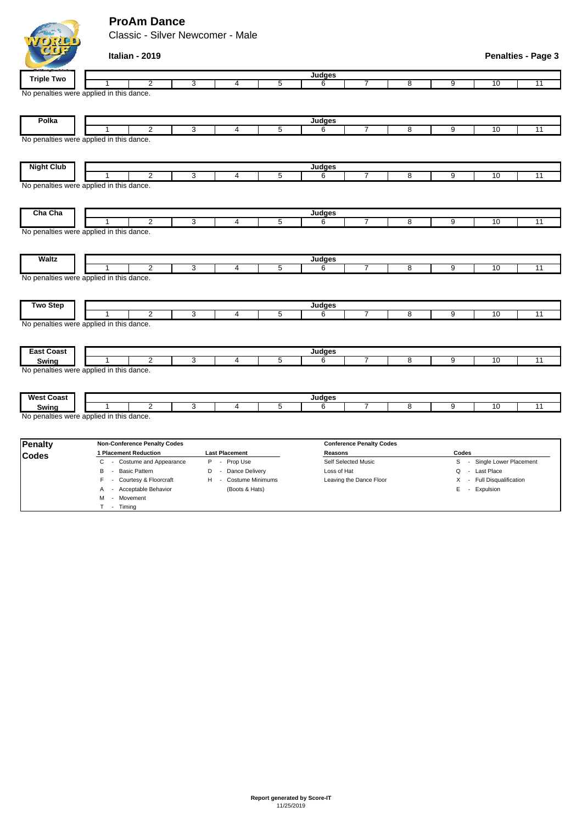## **ProAm Dance**

Classic - Silver Newcomer - Male

|                   | Italian - 2019                                     |   |                         |                |                     |                                 |                                          |                |                 | <b>Penalties - Page 3</b> |
|-------------------|----------------------------------------------------|---|-------------------------|----------------|---------------------|---------------------------------|------------------------------------------|----------------|-----------------|---------------------------|
| <b>Triple Two</b> |                                                    |   |                         |                | Judges              |                                 |                                          |                |                 |                           |
|                   | $\overline{2}$<br>1                                | 3 | 4                       | $\overline{5}$ | 6                   | 7                               | $\overline{8}$                           | $\overline{9}$ | 10              | 11                        |
|                   | No penalties were applied in this dance.           |   |                         |                |                     |                                 |                                          |                |                 |                           |
| Polka             |                                                    |   |                         |                | Judges              |                                 |                                          |                |                 |                           |
|                   | $\overline{2}$                                     | 3 | 4                       | $\overline{5}$ | 6                   | 7                               | 8                                        | 9              | 10              | 11                        |
|                   | No penalties were applied in this dance.           |   |                         |                |                     |                                 |                                          |                |                 |                           |
| <b>Night Club</b> |                                                    |   |                         |                | Judges              |                                 |                                          |                |                 |                           |
|                   | $\overline{2}$                                     | 3 | $\overline{\mathbf{4}}$ | 5              | 6                   | $\overline{7}$                  | 8                                        | 9              | 10              | 11                        |
|                   | No penalties were applied in this dance.           |   |                         |                |                     |                                 |                                          |                |                 |                           |
| Cha Cha           |                                                    |   |                         |                | Judges              |                                 |                                          |                |                 |                           |
|                   | 2<br>1<br>No penalties were applied in this dance. | 3 | 4                       | 5              | 6                   | $\overline{7}$                  | 8                                        | 9              | 10              | 11                        |
| <b>Waltz</b>      | $\overline{2}$                                     | 3 | $\overline{4}$          | $\overline{5}$ | Judges<br>6         | 7                               | $\overline{8}$                           | 9              | 10              | $\overline{11}$           |
|                   | No penalties were applied in this dance.           |   |                         |                |                     |                                 |                                          |                |                 |                           |
| <b>Two Step</b>   | $\overline{2}$                                     | 3 | 4                       | 5              | Judges<br>6         | 7                               | 8                                        | 9              | 10              | 11                        |
|                   | No penalties were applied in this dance.           |   |                         |                |                     |                                 |                                          |                |                 |                           |
| <b>East Coast</b> |                                                    |   |                         |                | Judges              |                                 |                                          |                |                 |                           |
| Swing             | $\overline{2}$                                     | 3 | 4                       | $\overline{5}$ | 6                   | 7                               | 8                                        | 9              | 10              | $\overline{11}$           |
| <b>West Coast</b> | No penalties were applied in this dance.           |   |                         |                | Judges              |                                 |                                          |                |                 |                           |
| Swing             | $\overline{2}$                                     | 3 | $\overline{4}$          | 5              | 6                   | 7                               | 8                                        | 9              | $\overline{10}$ | 11                        |
|                   | No penalties were applied in this dance.           |   |                         |                |                     |                                 |                                          |                |                 |                           |
| <b>Penalty</b>    | <b>Non-Conference Penalty Codes</b>                |   |                         |                |                     | <b>Conference Penalty Codes</b> |                                          |                |                 |                           |
| <b>Codes</b>      | 1 Placement Reduction                              |   | <b>Last Placement</b>   |                | Reasons             |                                 |                                          | Codes          |                 |                           |
|                   | C. - Costume and Annearance<br>P - Prop Use        |   |                         |                | Self Selected Music |                                 | $\mathbf{s}$<br>- Single Lower Placement |                |                 |                           |

C - Costume and Appearance P - Prop Use Self Selected Music S - Single Lower Placement B - Basic Pattern **D** - Dance Delivery Loss of Hat **Loss of Hat Q - Last Place** F - Courtesy & Floorcraft H - Costume Minimums Leaving the Dance Floor X - Full Disqualification A - Acceptable Behavior (Boots & Hats) E - Expulsion M - Movement T - Timing